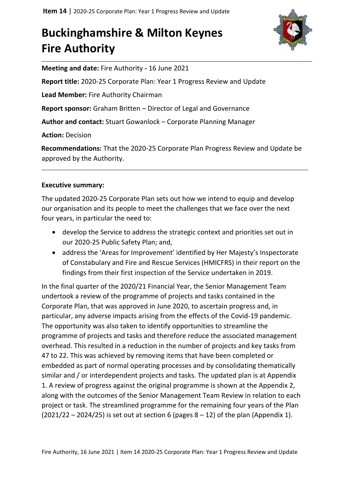## **Buckinghamshire & Milton Keynes Fire Authority**



**Meeting and date:** Fire Authority **-** 16 June 2021

**Report title:** 2020-25 Corporate Plan: Year 1 Progress Review and Update

**Lead Member:** Fire Authority Chairman

**Report sponsor:** Graham Britten – Director of Legal and Governance

**Author and contact:** Stuart Gowanlock – Corporate Planning Manager

**Action:** Decision

**Recommendations:** That the 2020-25 Corporate Plan Progress Review and Update be approved by the Authority.

#### **Executive summary:**

The updated 2020-25 Corporate Plan sets out how we intend to equip and develop our organisation and its people to meet the challenges that we face over the next four years, in particular the need to:

- develop the Service to address the strategic context and priorities set out in our 2020-25 Public Safety Plan; and,
- address the 'Areas for Improvement' identified by Her Majesty's Inspectorate of Constabulary and Fire and Rescue Services (HMICFRS) in their report on the findings from their first inspection of the Service undertaken in 2019.

In the final quarter of the 2020/21 Financial Year, the Senior Management Team undertook a review of the programme of projects and tasks contained in the Corporate Plan, that was approved in June 2020, to ascertain progress and, in particular, any adverse impacts arising from the effects of the Covid-19 pandemic. The opportunity was also taken to identify opportunities to streamline the programme of projects and tasks and therefore reduce the associated management overhead. This resulted in a reduction in the number of projects and key tasks from 47 to 22. This was achieved by removing items that have been completed or embedded as part of normal operating processes and by consolidating thematically similar and / or interdependent projects and tasks. The updated plan is at Appendix 1. A review of progress against the original programme is shown at the Appendix 2, along with the outcomes of the Senior Management Team Review in relation to each project or task. The streamlined programme for the remaining four years of the Plan  $(2021/22 - 2024/25)$  is set out at section 6 (pages  $8 - 12$ ) of the plan (Appendix 1).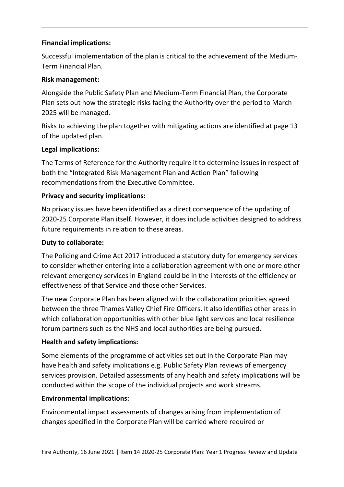## **Financial implications:**

Successful implementation of the plan is critical to the achievement of the Medium-Term Financial Plan.

## **Risk management:**

Alongside the Public Safety Plan and Medium-Term Financial Plan, the Corporate Plan sets out how the strategic risks facing the Authority over the period to March 2025 will be managed.

Risks to achieving the plan together with mitigating actions are identified at page 13 of the updated plan.

## **Legal implications:**

The Terms of Reference for the Authority require it to determine issues in respect of both the "Integrated Risk Management Plan and Action Plan" following recommendations from the Executive Committee.

## **Privacy and security implications:**

No privacy issues have been identified as a direct consequence of the updating of 2020-25 Corporate Plan itself. However, it does include activities designed to address future requirements in relation to these areas.

## **Duty to collaborate:**

The Policing and Crime Act 2017 introduced a statutory duty for emergency services to consider whether entering into a collaboration agreement with one or more other relevant emergency services in England could be in the interests of the efficiency or effectiveness of that Service and those other Services.

The new Corporate Plan has been aligned with the collaboration priorities agreed between the three Thames Valley Chief Fire Officers. It also identifies other areas in which collaboration opportunities with other blue light services and local resilience forum partners such as the NHS and local authorities are being pursued.

## **Health and safety implications:**

Some elements of the programme of activities set out in the Corporate Plan may have health and safety implications e.g. Public Safety Plan reviews of emergency services provision. Detailed assessments of any health and safety implications will be conducted within the scope of the individual projects and work streams.

## **Environmental implications:**

Environmental impact assessments of changes arising from implementation of changes specified in the Corporate Plan will be carried where required or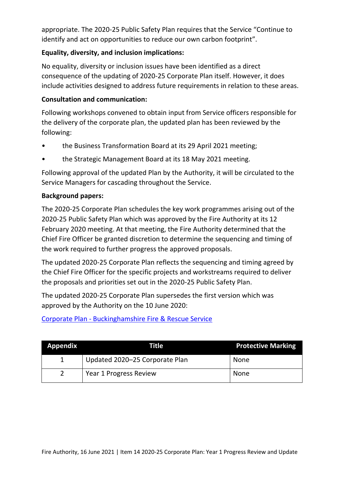appropriate. The 2020-25 Public Safety Plan requires that the Service "Continue to identify and act on opportunities to reduce our own carbon footprint".

## **Equality, diversity, and inclusion implications:**

No equality, diversity or inclusion issues have been identified as a direct consequence of the updating of 2020-25 Corporate Plan itself. However, it does include activities designed to address future requirements in relation to these areas.

## **Consultation and communication:**

Following workshops convened to obtain input from Service officers responsible for the delivery of the corporate plan, the updated plan has been reviewed by the following:

- the Business Transformation Board at its 29 April 2021 meeting;
- the Strategic Management Board at its 18 May 2021 meeting.

Following approval of the updated Plan by the Authority, it will be circulated to the Service Managers for cascading throughout the Service.

## **Background papers:**

The 2020-25 Corporate Plan schedules the key work programmes arising out of the 2020-25 Public Safety Plan which was approved by the Fire Authority at its 12 February 2020 meeting. At that meeting, the Fire Authority determined that the Chief Fire Officer be granted discretion to determine the sequencing and timing of the work required to further progress the approved proposals.

The updated 2020-25 Corporate Plan reflects the sequencing and timing agreed by the Chief Fire Officer for the specific projects and workstreams required to deliver the proposals and priorities set out in the 2020-25 Public Safety Plan.

The updated 2020-25 Corporate Plan supersedes the first version which was approved by the Authority on the 10 June 2020:

Corporate Plan - [Buckinghamshire Fire & Rescue Service](https://bucksfire.gov.uk/authority/corporate-plan/)

| <b>Appendix</b> | Title                          | <b>Protective Marking</b> |
|-----------------|--------------------------------|---------------------------|
|                 | Updated 2020-25 Corporate Plan | None                      |
|                 | Year 1 Progress Review         | None                      |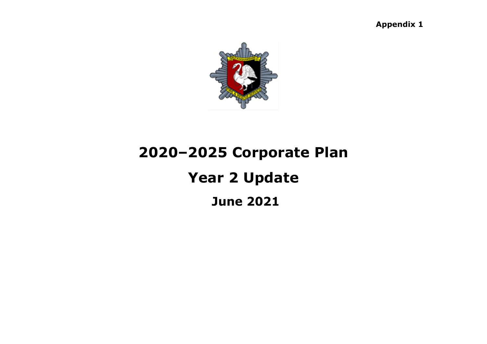**Appendix 1**



# **2020–2025 Corporate Plan Year 2 Update**

## **June 2021**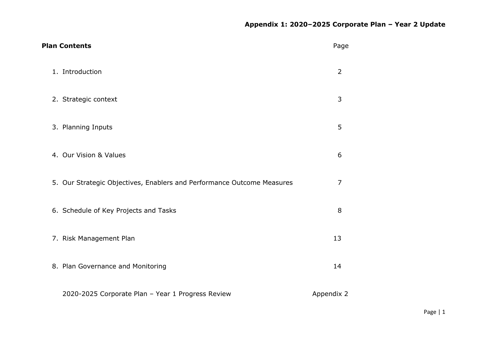| <b>Plan Contents</b>                                                   | Page           |
|------------------------------------------------------------------------|----------------|
| 1. Introduction                                                        | $\overline{2}$ |
| 2. Strategic context                                                   | 3              |
| 3. Planning Inputs                                                     | 5              |
| 4. Our Vision & Values                                                 | 6              |
| 5. Our Strategic Objectives, Enablers and Performance Outcome Measures | $\overline{7}$ |
| 6. Schedule of Key Projects and Tasks                                  | 8              |
| 7. Risk Management Plan                                                | 13             |
| 8. Plan Governance and Monitoring                                      | 14             |
| 2020-2025 Corporate Plan - Year 1 Progress Review                      | Appendix 2     |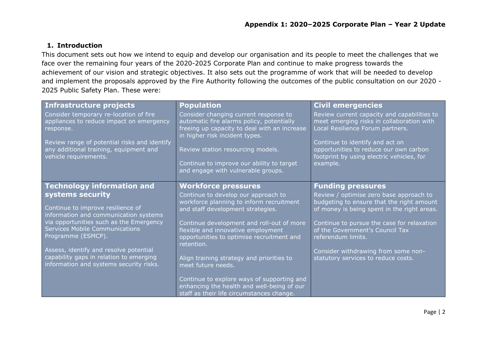#### **1. Introduction**

This document sets out how we intend to equip and develop our organisation and its people to meet the challenges that we face over the remaining four years of the 2020-2025 Corporate Plan and continue to make progress towards the achievement of our vision and strategic objectives. It also sets out the programme of work that will be needed to develop and implement the proposals approved by the Fire Authority following the outcomes of the public consultation on our 2020 - 2025 Public Safety Plan. These were:

| Infrastructure projects                                                                                         | <b>Population</b>                                                                                                                                                    | <b>Civil emergencies</b>                                                                                                           |
|-----------------------------------------------------------------------------------------------------------------|----------------------------------------------------------------------------------------------------------------------------------------------------------------------|------------------------------------------------------------------------------------------------------------------------------------|
| Consider temporary re-location of fire<br>appliances to reduce impact on emergency<br>response.                 | Consider changing current response to<br>automatic fire alarms policy, potentially<br>freeing up capacity to deal with an increase<br>in higher risk incident types. | Review current capacity and capabilities to<br>meet emerging risks in collaboration with<br>Local Resilience Forum partners.       |
| Review range of potential risks and identify<br>any additional training, equipment and<br>vehicle requirements. | Review station resourcing models.<br>Continue to improve our ability to target<br>and engage with vulnerable groups.                                                 | Continue to identify and act on<br>opportunities to reduce our own carbon<br>footprint by using electric vehicles, for<br>example. |
|                                                                                                                 |                                                                                                                                                                      |                                                                                                                                    |
| <b>Technology information and</b>                                                                               | <b>Workforce pressures</b>                                                                                                                                           | <b>Funding pressures</b>                                                                                                           |
| systems security                                                                                                | Continue to develop our approach to                                                                                                                                  | Review / optimise zero base approach to                                                                                            |
| Continue to improve resilience of                                                                               | workforce planning to inform recruitment                                                                                                                             | budgeting to ensure that the right amount                                                                                          |
| information and communication systems                                                                           | and staff development strategies.                                                                                                                                    | of money is being spent in the right areas.                                                                                        |
| via opportunities such as the Emergency                                                                         | Continue development and roll-out of more                                                                                                                            | Continue to pursue the case for relaxation                                                                                         |
| <b>Services Mobile Communications</b>                                                                           | flexible and innovative employment                                                                                                                                   | of the Government's Council Tax                                                                                                    |
| Programme (ESMCP).                                                                                              | opportunities to optimise recruitment and                                                                                                                            | referendum limits.                                                                                                                 |
| Assess, identify and resolve potential                                                                          | retention.                                                                                                                                                           |                                                                                                                                    |
| capability gaps in relation to emerging                                                                         | Align training strategy and priorities to                                                                                                                            | Consider withdrawing from some non-<br>statutory services to reduce costs.                                                         |
| information and systems security risks.                                                                         | meet future needs.                                                                                                                                                   |                                                                                                                                    |
|                                                                                                                 |                                                                                                                                                                      |                                                                                                                                    |
|                                                                                                                 | Continue to explore ways of supporting and                                                                                                                           |                                                                                                                                    |
|                                                                                                                 | enhancing the health and well-being of our                                                                                                                           |                                                                                                                                    |
|                                                                                                                 | staff as their life circumstances change.                                                                                                                            |                                                                                                                                    |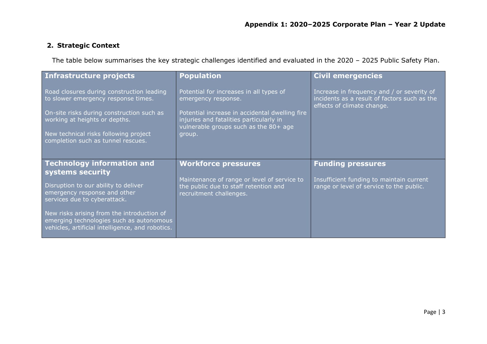## **2. Strategic Context**

The table below summarises the key strategic challenges identified and evaluated in the 2020 – 2025 Public Safety Plan.

| Infrastructure projects                                                                                                                                                                                                                       | <b>Population</b>                                                                                                                                                                                              | <b>Civil emergencies</b>                                                                                                 |
|-----------------------------------------------------------------------------------------------------------------------------------------------------------------------------------------------------------------------------------------------|----------------------------------------------------------------------------------------------------------------------------------------------------------------------------------------------------------------|--------------------------------------------------------------------------------------------------------------------------|
| Road closures during construction leading<br>to slower emergency response times.<br>On-site risks during construction such as<br>working at heights or depths.<br>New technical risks following project<br>completion such as tunnel rescues. | Potential for increases in all types of<br>emergency response.<br>Potential increase in accidental dwelling fire<br>injuries and fatalities particularly in<br>vulnerable groups such as the 80+ age<br>group. | Increase in frequency and / or severity of<br>incidents as a result of factors such as the<br>effects of climate change. |
| <b>Technology information and</b><br>systems security                                                                                                                                                                                         | <b>Workforce pressures</b>                                                                                                                                                                                     | <b>Funding pressures</b>                                                                                                 |
| Disruption to our ability to deliver<br>emergency response and other<br>services due to cyberattack.                                                                                                                                          | Maintenance of range or level of service to<br>the public due to staff retention and<br>recruitment challenges.                                                                                                | Insufficient funding to maintain current<br>range or level of service to the public.                                     |
| New risks arising from the introduction of<br>emerging technologies such as autonomous<br>vehicles, artificial intelligence, and robotics.                                                                                                    |                                                                                                                                                                                                                |                                                                                                                          |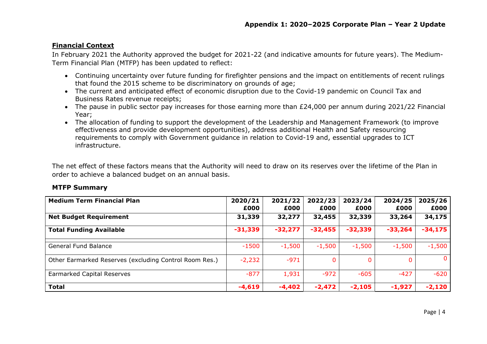#### **Financial Context**

In February 2021 the Authority approved the budget for 2021-22 (and indicative amounts for future years). The Medium-Term Financial Plan (MTFP) has been updated to reflect:

- Continuing uncertainty over future funding for firefighter pensions and the impact on entitlements of recent rulings that found the 2015 scheme to be discriminatory on grounds of age;
- The current and anticipated effect of economic disruption due to the Covid-19 pandemic on Council Tax and Business Rates revenue receipts;
- The pause in public sector pay increases for those earning more than £24,000 per annum during 2021/22 Financial Year;
- The allocation of funding to support the development of the Leadership and Management Framework (to improve effectiveness and provide development opportunities), address additional Health and Safety resourcing requirements to comply with Government guidance in relation to Covid-19 and, essential upgrades to ICT infrastructure.

The net effect of these factors means that the Authority will need to draw on its reserves over the lifetime of the Plan in order to achieve a balanced budget on an annual basis.

#### **MTFP Summary**

| <b>Medium Term Financial Plan</b>                      | 2020/21        | 2021/22        | 2022/23        | 2023/24        | 2024/25        | 2025/26        |
|--------------------------------------------------------|----------------|----------------|----------------|----------------|----------------|----------------|
|                                                        | £000<br>31,339 | £000<br>32,277 | £000<br>32,455 | £000<br>32,339 | £000<br>33,264 | £000<br>34,175 |
| <b>Net Budget Requirement</b>                          |                |                |                |                |                |                |
| <b>Total Funding Available</b>                         | $-31,339$      | $-32,277$      | $-32,455$      | $-32,339$      | $-33,264$      | $-34,175$      |
| General Fund Balance                                   | $-1500$        | $-1,500$       | $-1,500$       | $-1,500$       | $-1,500$       | $-1,500$       |
| Other Earmarked Reserves (excluding Control Room Res.) | $-2,232$       | $-971$         |                |                |                | $\mathbf{0}$   |
| Earmarked Capital Reserves                             | $-877$         | 1,931          | $-972$         | $-605$         | $-427$         | $-620$         |
| <b>Total</b>                                           | $-4,619$       | $-4,402$       | $-2,472$       | $-2,105$       | $-1,927$       | $-2,120$       |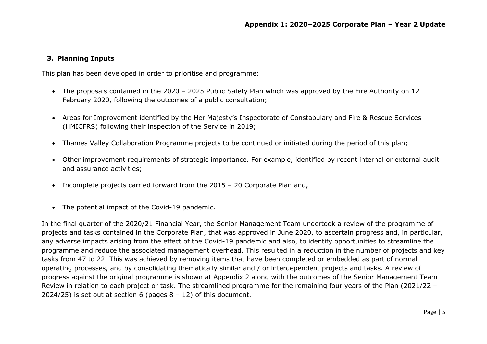#### **3. Planning Inputs**

This plan has been developed in order to prioritise and programme:

- The proposals contained in the 2020 2025 Public Safety Plan which was approved by the Fire Authority on 12 February 2020, following the outcomes of a public consultation;
- Areas for Improvement identified by the Her Majesty's Inspectorate of Constabulary and Fire & Rescue Services (HMICFRS) following their inspection of the Service in 2019;
- Thames Valley Collaboration Programme projects to be continued or initiated during the period of this plan;
- Other improvement requirements of strategic importance. For example, identified by recent internal or external audit and assurance activities;
- Incomplete projects carried forward from the 2015 20 Corporate Plan and,
- The potential impact of the Covid-19 pandemic.

In the final quarter of the 2020/21 Financial Year, the Senior Management Team undertook a review of the programme of projects and tasks contained in the Corporate Plan, that was approved in June 2020, to ascertain progress and, in particular, any adverse impacts arising from the effect of the Covid-19 pandemic and also, to identify opportunities to streamline the programme and reduce the associated management overhead. This resulted in a reduction in the number of projects and key tasks from 47 to 22. This was achieved by removing items that have been completed or embedded as part of normal operating processes, and by consolidating thematically similar and / or interdependent projects and tasks. A review of progress against the original programme is shown at Appendix 2 along with the outcomes of the Senior Management Team Review in relation to each project or task. The streamlined programme for the remaining four years of the Plan (2021/22 – 2024/25) is set out at section 6 (pages  $8 - 12$ ) of this document.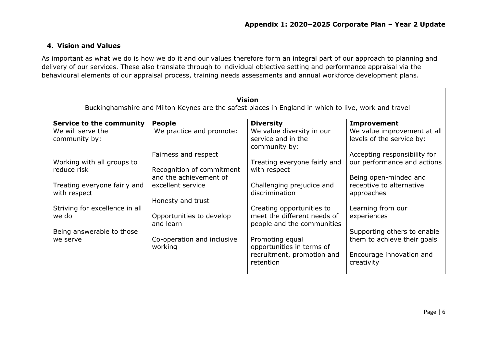#### **4. Vision and Values**

As important as what we do is how we do it and our values therefore form an integral part of our approach to planning and delivery of our services. These also translate through to individual objective setting and performance appraisal via the behavioural elements of our appraisal process, training needs assessments and annual workforce development plans.

|                                              |                                                     | <b>Vision</b><br>Buckinghamshire and Milton Keynes are the safest places in England in which to live, work and travel |                                                          |
|----------------------------------------------|-----------------------------------------------------|-----------------------------------------------------------------------------------------------------------------------|----------------------------------------------------------|
| <b>Service to the community</b>              | <b>People</b>                                       | <b>Diversity</b>                                                                                                      | <b>Improvement</b>                                       |
| We will serve the<br>community by:           | We practice and promote:                            | We value diversity in our<br>service and in the<br>community by:                                                      | We value improvement at all<br>levels of the service by: |
|                                              | Fairness and respect                                |                                                                                                                       | Accepting responsibility for                             |
| Working with all groups to                   |                                                     | Treating everyone fairly and                                                                                          | our performance and actions                              |
| reduce risk                                  | Recognition of commitment<br>and the achievement of | with respect                                                                                                          | Being open-minded and                                    |
| Treating everyone fairly and<br>with respect | excellent service<br>Honesty and trust              | Challenging prejudice and<br>discrimination                                                                           | receptive to alternative<br>approaches                   |
| Striving for excellence in all               |                                                     | Creating opportunities to                                                                                             | Learning from our                                        |
| we do                                        | Opportunities to develop<br>and learn               | meet the different needs of<br>people and the communities                                                             | experiences                                              |
| Being answerable to those                    |                                                     |                                                                                                                       | Supporting others to enable                              |
| we serve                                     | Co-operation and inclusive<br>working               | Promoting equal<br>opportunities in terms of                                                                          | them to achieve their goals                              |
|                                              |                                                     | recruitment, promotion and<br>retention                                                                               | Encourage innovation and<br>creativity                   |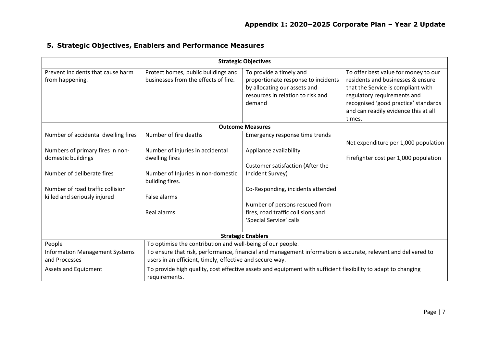|  |  | 5. Strategic Objectives, Enablers and Performance Measures |
|--|--|------------------------------------------------------------|
|--|--|------------------------------------------------------------|

| <b>Strategic Objectives</b>                                                                                                                                                                                                                                                                                                                                                                                                                          |                                                                                          |                                                                                                                                               |                                                                                                                                                                                                                                |  |  |  |  |
|------------------------------------------------------------------------------------------------------------------------------------------------------------------------------------------------------------------------------------------------------------------------------------------------------------------------------------------------------------------------------------------------------------------------------------------------------|------------------------------------------------------------------------------------------|-----------------------------------------------------------------------------------------------------------------------------------------------|--------------------------------------------------------------------------------------------------------------------------------------------------------------------------------------------------------------------------------|--|--|--|--|
| Prevent Incidents that cause harm<br>from happening.                                                                                                                                                                                                                                                                                                                                                                                                 | Protect homes, public buildings and<br>businesses from the effects of fire.              | To provide a timely and<br>proportionate response to incidents<br>by allocating our assets and<br>resources in relation to risk and<br>demand | To offer best value for money to our<br>residents and businesses & ensure<br>that the Service is compliant with<br>regulatory requirements and<br>recognised 'good practice' standards<br>and can readily evidence this at all |  |  |  |  |
|                                                                                                                                                                                                                                                                                                                                                                                                                                                      |                                                                                          |                                                                                                                                               | times.                                                                                                                                                                                                                         |  |  |  |  |
|                                                                                                                                                                                                                                                                                                                                                                                                                                                      |                                                                                          | <b>Outcome Measures</b>                                                                                                                       |                                                                                                                                                                                                                                |  |  |  |  |
| Number of accidental dwelling fires                                                                                                                                                                                                                                                                                                                                                                                                                  | Number of fire deaths                                                                    | Emergency response time trends                                                                                                                | Net expenditure per 1,000 population                                                                                                                                                                                           |  |  |  |  |
| Numbers of primary fires in non-<br>domestic buildings<br>Number of deliberate fires                                                                                                                                                                                                                                                                                                                                                                 | Number of injuries in accidental<br>dwelling fires<br>Number of Injuries in non-domestic | Appliance availability<br><b>Customer satisfaction (After the</b><br>Incident Survey)                                                         | Firefighter cost per 1,000 population                                                                                                                                                                                          |  |  |  |  |
| Number of road traffic collision<br>killed and seriously injured                                                                                                                                                                                                                                                                                                                                                                                     | building fires.<br>False alarms                                                          | Co-Responding, incidents attended                                                                                                             |                                                                                                                                                                                                                                |  |  |  |  |
|                                                                                                                                                                                                                                                                                                                                                                                                                                                      | Real alarms                                                                              | Number of persons rescued from<br>fires, road traffic collisions and<br>'Special Service' calls                                               |                                                                                                                                                                                                                                |  |  |  |  |
|                                                                                                                                                                                                                                                                                                                                                                                                                                                      |                                                                                          | <b>Strategic Enablers</b>                                                                                                                     |                                                                                                                                                                                                                                |  |  |  |  |
| People<br>To optimise the contribution and well-being of our people.<br>To ensure that risk, performance, financial and management information is accurate, relevant and delivered to<br><b>Information Management Systems</b><br>and Processes<br>users in an efficient, timely, effective and secure way.<br>To provide high quality, cost effective assets and equipment with sufficient flexibility to adapt to changing<br>Assets and Equipment |                                                                                          |                                                                                                                                               |                                                                                                                                                                                                                                |  |  |  |  |
|                                                                                                                                                                                                                                                                                                                                                                                                                                                      | requirements.                                                                            |                                                                                                                                               |                                                                                                                                                                                                                                |  |  |  |  |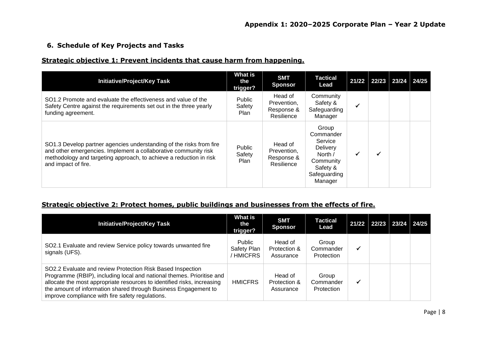#### **6. Schedule of Key Projects and Tasks**

#### **Strategic objective 1: Prevent incidents that cause harm from happening.**

| <b>Initiative/Project/Key Task</b>                                                                                                                                                                                                  | What is<br>the<br>trigger?      | <b>SMT</b><br><b>Sponsor</b>                       | <b>Tactical</b><br>Lead                                                                                  | 21/22 | 22/23 23/24 | 24/25 |
|-------------------------------------------------------------------------------------------------------------------------------------------------------------------------------------------------------------------------------------|---------------------------------|----------------------------------------------------|----------------------------------------------------------------------------------------------------------|-------|-------------|-------|
| SO1.2 Promote and evaluate the effectiveness and value of the<br>Safety Centre against the requirements set out in the three yearly<br>funding agreement.                                                                           | Public<br>Safety<br><b>Plan</b> | Head of<br>Prevention.<br>Response &<br>Resilience | Community<br>Safety &<br>Safeguarding<br>Manager                                                         | √     |             |       |
| SO1.3 Develop partner agencies understanding of the risks from fire<br>and other emergencies. Implement a collaborative community risk<br>methodology and targeting approach, to achieve a reduction in risk<br>and impact of fire. | Public<br>Safety<br><b>Plan</b> | Head of<br>Prevention,<br>Response &<br>Resilience | Group<br>Commander<br>Service<br>Delivery<br>North /<br>Community<br>Safety &<br>Safeguarding<br>Manager | ✔     |             |       |

#### **Strategic objective 2: Protect homes, public buildings and businesses from the effects of fire.**

| <b>Initiative/Project/Key Task</b>                                                                                                                                                                                                                                                                                                    | <b>What is</b><br>the<br>trigger?  | <b>SMT</b><br><b>Sponsor</b>         | Tactical<br>Lead                 | $21/22$   22/23   23/24   24/25 |  |
|---------------------------------------------------------------------------------------------------------------------------------------------------------------------------------------------------------------------------------------------------------------------------------------------------------------------------------------|------------------------------------|--------------------------------------|----------------------------------|---------------------------------|--|
| SO2.1 Evaluate and review Service policy towards unwanted fire<br>signals (UFS).                                                                                                                                                                                                                                                      | Public<br>Safety Plan<br>' HMICFRS | Head of<br>Protection &<br>Assurance | Group<br>Commander<br>Protection |                                 |  |
| SO2.2 Evaluate and review Protection Risk Based Inspection<br>Programme (RBIP), including local and national themes. Prioritise and<br>allocate the most appropriate resources to identified risks, increasing<br>the amount of information shared through Business Engagement to<br>improve compliance with fire safety regulations. | <b>HMICFRS</b>                     | Head of<br>Protection &<br>Assurance | Group<br>Commander<br>Protection |                                 |  |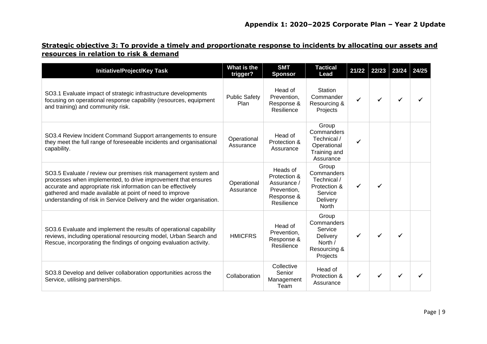## **Strategic objective 3: To provide a timely and proportionate response to incidents by allocating our assets and resources in relation to risk & demand**

| <b>Initiative/Project/Key Task</b>                                                                                                                                                                                                                                                                                                   | What is the<br>trigger?      | <b>SMT</b><br><b>Sponsor</b>                                                       | <b>Tactical</b><br>Lead                                                            | 21/22 | 22/23 | 23/24 | 24/25 |
|--------------------------------------------------------------------------------------------------------------------------------------------------------------------------------------------------------------------------------------------------------------------------------------------------------------------------------------|------------------------------|------------------------------------------------------------------------------------|------------------------------------------------------------------------------------|-------|-------|-------|-------|
| SO3.1 Evaluate impact of strategic infrastructure developments<br>focusing on operational response capability (resources, equipment<br>and training) and community risk.                                                                                                                                                             | <b>Public Safety</b><br>Plan | Head of<br>Prevention,<br>Response &<br>Resilience                                 | Station<br>Commander<br>Resourcing &<br>Projects                                   |       |       |       |       |
| SO3.4 Review Incident Command Support arrangements to ensure<br>they meet the full range of foreseeable incidents and organisational<br>capability.                                                                                                                                                                                  | Operational<br>Assurance     | Head of<br>Protection &<br>Assurance                                               | Group<br>Commanders<br>Technical /<br>Operational<br>Training and<br>Assurance     |       |       |       |       |
| SO3.5 Evaluate / review our premises risk management system and<br>processes when implemented, to drive improvement that ensures<br>accurate and appropriate risk information can be effectively<br>gathered and made available at point of need to improve<br>understanding of risk in Service Delivery and the wider organisation. | Operational<br>Assurance     | Heads of<br>Protection &<br>Assurance /<br>Prevention,<br>Response &<br>Resilience | Group<br>Commanders<br>Technical /<br>Protection &<br>Service<br>Delivery<br>North |       |       |       |       |
| SO3.6 Evaluate and implement the results of operational capability<br>reviews, including operational resourcing model, Urban Search and<br>Rescue, incorporating the findings of ongoing evaluation activity.                                                                                                                        | <b>HMICFRS</b>               | Head of<br>Prevention,<br>Response &<br>Resilience                                 | Group<br>Commanders<br>Service<br>Delivery<br>North /<br>Resourcing &<br>Projects  |       |       |       |       |
| SO3.8 Develop and deliver collaboration opportunities across the<br>Service, utilising partnerships.                                                                                                                                                                                                                                 | Collaboration                | Collective<br>Senior<br>Management<br>Team                                         | Head of<br>Protection &<br>Assurance                                               |       |       |       |       |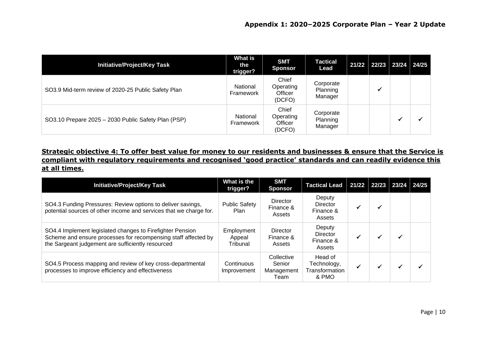| Initiative/Project/Key Task                         | What is<br>the<br>trigger? | <b>SMT</b><br><b>Sponsor</b>            | <b>Tactical</b><br>Lead          | $21/22$   22/23   23/24   24/25 |  |
|-----------------------------------------------------|----------------------------|-----------------------------------------|----------------------------------|---------------------------------|--|
| SO3.9 Mid-term review of 2020-25 Public Safety Plan | National<br>Framework      | Chief<br>Operating<br>Officer<br>(DCFO) | Corporate<br>Planning<br>Manager |                                 |  |
| SO3.10 Prepare 2025 - 2030 Public Safety Plan (PSP) | National<br>Framework      | Chief<br>Operating<br>Officer<br>(DCFO) | Corporate<br>Planning<br>Manager |                                 |  |

**Strategic objective 4: To offer best value for money to our residents and businesses & ensure that the Service is compliant with regulatory requirements and recognised 'good practice' standards and can readily evidence this at all times.**

| <b>Initiative/Project/Key Task</b>                                                                                                                                               | What is the<br>trigger?          | <b>SMT</b><br><b>Sponsor</b>               | <b>Tactical Lead</b>                              | 21/22 22/23 |  | 23/24 24/25 |
|----------------------------------------------------------------------------------------------------------------------------------------------------------------------------------|----------------------------------|--------------------------------------------|---------------------------------------------------|-------------|--|-------------|
| SO4.3 Funding Pressures: Review options to deliver savings,<br>potential sources of other income and services that we charge for.                                                | <b>Public Safety</b><br>Plan     | <b>Director</b><br>Finance &<br>Assets     | Deputy<br><b>Director</b><br>Finance &<br>Assets  |             |  |             |
| SO4.4 Implement legislated changes to Firefighter Pension<br>Scheme and ensure processes for recompensing staff affected by<br>the Sargeant judgement are sufficiently resourced | Employment<br>Appeal<br>Tribunal | Director<br>Finance &<br>Assets            | Deputy<br><b>Director</b><br>Finance &<br>Assets  |             |  |             |
| SO4.5 Process mapping and review of key cross-departmental<br>processes to improve efficiency and effectiveness                                                                  | Continuous<br>Improvement        | Collective<br>Senior<br>Management<br>Team | Head of<br>Technology,<br>Transformation<br>& PMO |             |  |             |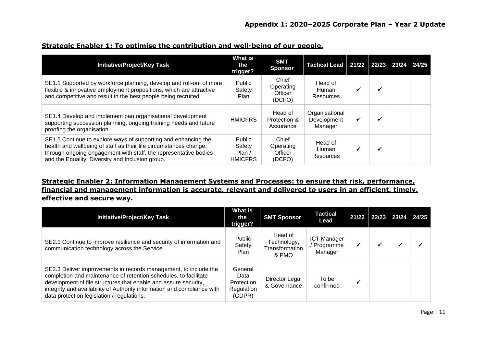| <b>Initiative/Project/Key Task</b>                                                                                                                                                                                                                          | What is<br>the<br>trigger?                   | <b>SMT</b><br><b>Sponsor</b>            | Tactical Lead   21/22   22/23   23/24    |  | 24/25 |
|-------------------------------------------------------------------------------------------------------------------------------------------------------------------------------------------------------------------------------------------------------------|----------------------------------------------|-----------------------------------------|------------------------------------------|--|-------|
| SE1.1 Supported by workforce planning, develop and roll-out of more<br>flexible & innovative employment propositions, which are attractive<br>and competitive and result in the best people being recruited                                                 | Public<br>Safety<br><b>Plan</b>              | Chief<br>Operating<br>Officer<br>(DCFO) | Head of<br>Human<br>Resources            |  |       |
| SE1.4 Develop and implement pan organisational development<br>supporting succession planning, ongoing training needs and future<br>proofing the organisation.                                                                                               | <b>HMICFRS</b>                               | Head of<br>Protection &<br>Assurance    | Organisational<br>Development<br>Manager |  |       |
| SE1.5 Continue to explore ways of supporting and enhancing the<br>health and wellbeing of staff as their life circumstances change,<br>through ongoing engagement with staff, the representative bodies<br>and the Equality, Diversity and Inclusion group. | Public<br>Safety<br>Plan /<br><b>HMICFRS</b> | Chief<br>Operating<br>Officer<br>(DCFO) | Head of<br>Human<br>Resources            |  |       |

#### **Strategic Enabler 1: To optimise the contribution and well-being of our people.**

## **Strategic Enabler 2: Information Management Systems and Processes: to ensure that risk, performance, financial and management information is accurate, relevant and delivered to users in an efficient, timely, effective and secure way.**

| <b>Initiative/Project/Key Task</b>                                                                                                                                                                                                                                                                                               | <b>What is</b><br>the<br>trigger?                     | <b>SMT Sponsor</b>                                | <b>Tactical</b><br>Lead                      | 21/22 | $22/23$ 23/24 24/25 |  |
|----------------------------------------------------------------------------------------------------------------------------------------------------------------------------------------------------------------------------------------------------------------------------------------------------------------------------------|-------------------------------------------------------|---------------------------------------------------|----------------------------------------------|-------|---------------------|--|
| SE2.1 Continue to improve resilience and security of information and<br>communication technology across the Service.                                                                                                                                                                                                             | Public<br>Safety<br>Plan                              | Head of<br>Technology,<br>Transformation<br>& PMO | <b>ICT Manager</b><br>/ Programme<br>Manager | ✔     |                     |  |
| SE2.3 Deliver improvements in records management, to include the<br>completion and maintenance of retention schedules, to facilitate<br>development of file structures that enable and assure security,<br>integrity and availability of Authority information and compliance with<br>data protection legislation / regulations. | General<br>Data<br>Protection<br>Regulation<br>(GDPR) | Director Legal<br>& Governance                    | To be<br>confirmed                           |       |                     |  |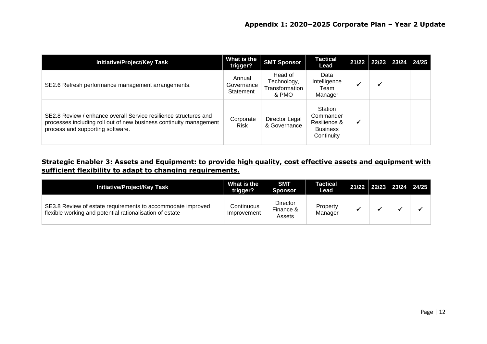| <b>Initiative/Project/Key Task</b>                                                                                                                                         | What is the<br>trigger?           | <b>SMT Sponsor</b>                                | <b>Tactical</b><br>Lead                                               | $21/22$ 22/23 23/24 24/25 |  |
|----------------------------------------------------------------------------------------------------------------------------------------------------------------------------|-----------------------------------|---------------------------------------------------|-----------------------------------------------------------------------|---------------------------|--|
| SE2.6 Refresh performance management arrangements.                                                                                                                         | Annual<br>Governance<br>Statement | Head of<br>Technology,<br>Transformation<br>& PMO | Data<br>Intelligence<br>Team<br>Manager                               |                           |  |
| SE2.8 Review / enhance overall Service resilience structures and<br>processes including roll out of new business continuity management<br>process and supporting software. | Corporate<br><b>Risk</b>          | Director Legal<br>& Governance                    | Station<br>Commander<br>Resilience &<br><b>Business</b><br>Continuity |                           |  |

## **Strategic Enabler 3: Assets and Equipment: to provide high quality, cost effective assets and equipment with sufficient flexibility to adapt to changing requirements.**

| <b>Initiative/Project/Key Task</b>                                                                                      | What is the<br>trigger?   | <b>SMT</b><br><b>Sponsor</b>           | Tactical<br>Lead    | 21/22 22/23 23/24 24/25 |  |
|-------------------------------------------------------------------------------------------------------------------------|---------------------------|----------------------------------------|---------------------|-------------------------|--|
| SE3.8 Review of estate requirements to accommodate improved<br>flexible working and potential rationalisation of estate | Continuous<br>Improvement | <b>Director</b><br>Finance &<br>Assets | Property<br>Manager |                         |  |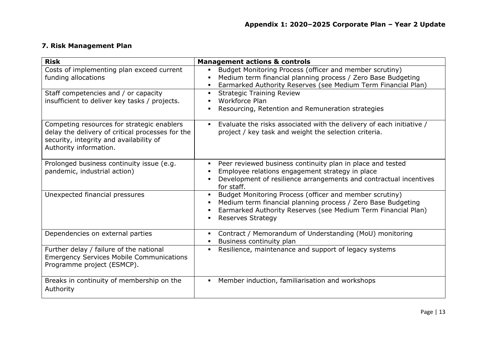## **7. Risk Management Plan**

| <b>Risk</b>                                                                                                                                                         | <b>Management actions &amp; controls</b>                                                                                                                                                                             |
|---------------------------------------------------------------------------------------------------------------------------------------------------------------------|----------------------------------------------------------------------------------------------------------------------------------------------------------------------------------------------------------------------|
| Costs of implementing plan exceed current<br>funding allocations                                                                                                    | Budget Monitoring Process (officer and member scrutiny)<br>Medium term financial planning process / Zero Base Budgeting<br>Earmarked Authority Reserves (see Medium Term Financial Plan)                             |
| Staff competencies and / or capacity<br>insufficient to deliver key tasks / projects.                                                                               | <b>Strategic Training Review</b><br><b>Workforce Plan</b><br>Resourcing, Retention and Remuneration strategies                                                                                                       |
| Competing resources for strategic enablers<br>delay the delivery of critical processes for the<br>security, integrity and availability of<br>Authority information. | Evaluate the risks associated with the delivery of each initiative /<br>project / key task and weight the selection criteria.                                                                                        |
| Prolonged business continuity issue (e.g.<br>pandemic, industrial action)                                                                                           | Peer reviewed business continuity plan in place and tested<br>Employee relations engagement strategy in place<br>Development of resilience arrangements and contractual incentives<br>for staff.                     |
| Unexpected financial pressures                                                                                                                                      | Budget Monitoring Process (officer and member scrutiny)<br>Medium term financial planning process / Zero Base Budgeting<br>Earmarked Authority Reserves (see Medium Term Financial Plan)<br><b>Reserves Strategy</b> |
| Dependencies on external parties                                                                                                                                    | Contract / Memorandum of Understanding (MoU) monitoring<br>Business continuity plan                                                                                                                                  |
| Further delay / failure of the national<br><b>Emergency Services Mobile Communications</b><br>Programme project (ESMCP).                                            | Resilience, maintenance and support of legacy systems                                                                                                                                                                |
| Breaks in continuity of membership on the<br>Authority                                                                                                              | Member induction, familiarisation and workshops<br>$\blacksquare$                                                                                                                                                    |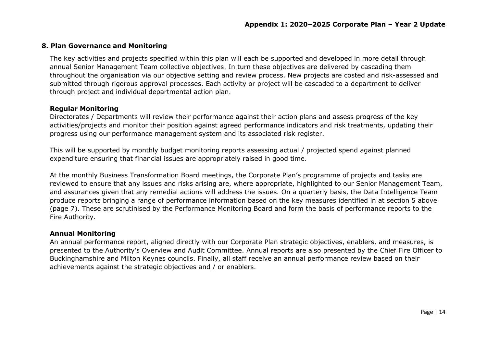#### **8. Plan Governance and Monitoring**

The key activities and projects specified within this plan will each be supported and developed in more detail through annual Senior Management Team collective objectives. In turn these objectives are delivered by cascading them throughout the organisation via our objective setting and review process. New projects are costed and risk-assessed and submitted through rigorous approval processes. Each activity or project will be cascaded to a department to deliver through project and individual departmental action plan.

#### **Regular Monitoring**

Directorates / Departments will review their performance against their action plans and assess progress of the key activities/projects and monitor their position against agreed performance indicators and risk treatments, updating their progress using our performance management system and its associated risk register.

This will be supported by monthly budget monitoring reports assessing actual / projected spend against planned expenditure ensuring that financial issues are appropriately raised in good time.

At the monthly Business Transformation Board meetings, the Corporate Plan's programme of projects and tasks are reviewed to ensure that any issues and risks arising are, where appropriate, highlighted to our Senior Management Team, and assurances given that any remedial actions will address the issues. On a quarterly basis, the Data Intelligence Team produce reports bringing a range of performance information based on the key measures identified in at section 5 above (page 7). These are scrutinised by the Performance Monitoring Board and form the basis of performance reports to the Fire Authority.

#### **Annual Monitoring**

An annual performance report, aligned directly with our Corporate Plan strategic objectives, enablers, and measures, is presented to the Authority's Overview and Audit Committee. Annual reports are also presented by the Chief Fire Officer to Buckinghamshire and Milton Keynes councils. Finally, all staff receive an annual performance review based on their achievements against the strategic objectives and / or enablers.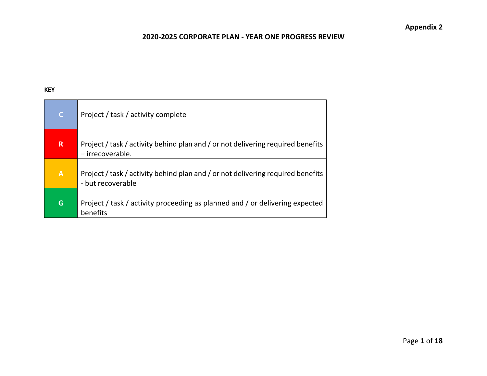#### **KEY**

| $\mathsf{C}$ | Project / task / activity complete                                                                   |
|--------------|------------------------------------------------------------------------------------------------------|
| $\mathsf{R}$ | Project / task / activity behind plan and / or not delivering required benefits<br>- irrecoverable.  |
| $\mathbf{A}$ | Project / task / activity behind plan and / or not delivering required benefits<br>- but recoverable |
| G            | Project / task / activity proceeding as planned and / or delivering expected<br>benefits             |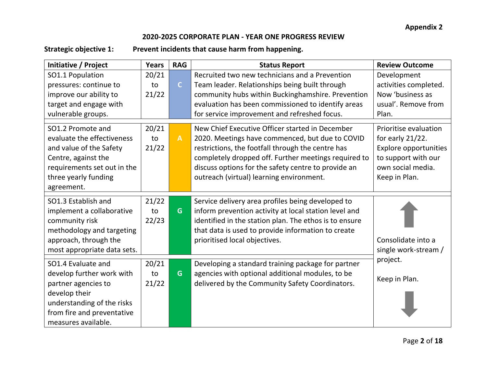**Strategic objective 1: Prevent incidents that cause harm from happening.**

| Initiative / Project                                                                                                                                                       | <b>Years</b>         | <b>RAG</b>   | <b>Status Report</b>                                                                                                                                                                                                                                                                                               | <b>Review Outcome</b>                                                                                                                     |
|----------------------------------------------------------------------------------------------------------------------------------------------------------------------------|----------------------|--------------|--------------------------------------------------------------------------------------------------------------------------------------------------------------------------------------------------------------------------------------------------------------------------------------------------------------------|-------------------------------------------------------------------------------------------------------------------------------------------|
| SO1.1 Population                                                                                                                                                           | 20/21                |              | Recruited two new technicians and a Prevention                                                                                                                                                                                                                                                                     | Development                                                                                                                               |
| pressures: continue to                                                                                                                                                     | to                   | $\mathsf{C}$ | Team leader. Relationships being built through                                                                                                                                                                                                                                                                     | activities completed.                                                                                                                     |
| improve our ability to                                                                                                                                                     | 21/22                |              | community hubs within Buckinghamshire. Prevention                                                                                                                                                                                                                                                                  | Now 'business as                                                                                                                          |
| target and engage with                                                                                                                                                     |                      |              | evaluation has been commissioned to identify areas                                                                                                                                                                                                                                                                 | usual'. Remove from                                                                                                                       |
| vulnerable groups.                                                                                                                                                         |                      |              | for service improvement and refreshed focus.                                                                                                                                                                                                                                                                       | Plan.                                                                                                                                     |
| SO1.2 Promote and<br>evaluate the effectiveness<br>and value of the Safety<br>Centre, against the<br>requirements set out in the<br>three yearly funding<br>agreement.     | 20/21<br>to<br>21/22 | $\mathbf{A}$ | New Chief Executive Officer started in December<br>2020. Meetings have commenced, but due to COVID<br>restrictions, the footfall through the centre has<br>completely dropped off. Further meetings required to<br>discuss options for the safety centre to provide an<br>outreach (virtual) learning environment. | Prioritise evaluation<br>for early $21/22$ .<br><b>Explore opportunities</b><br>to support with our<br>own social media.<br>Keep in Plan. |
| SO1.3 Establish and<br>implement a collaborative<br>community risk<br>methodology and targeting<br>approach, through the<br>most appropriate data sets.                    | 21/22<br>to<br>22/23 | G            | Service delivery area profiles being developed to<br>inform prevention activity at local station level and<br>identified in the station plan. The ethos is to ensure<br>that data is used to provide information to create<br>prioritised local objectives.                                                        | Consolidate into a<br>single work-stream /                                                                                                |
| SO1.4 Evaluate and<br>develop further work with<br>partner agencies to<br>develop their<br>understanding of the risks<br>from fire and preventative<br>measures available. | 20/21<br>to<br>21/22 | G            | Developing a standard training package for partner<br>agencies with optional additional modules, to be<br>delivered by the Community Safety Coordinators.                                                                                                                                                          | project.<br>Keep in Plan.                                                                                                                 |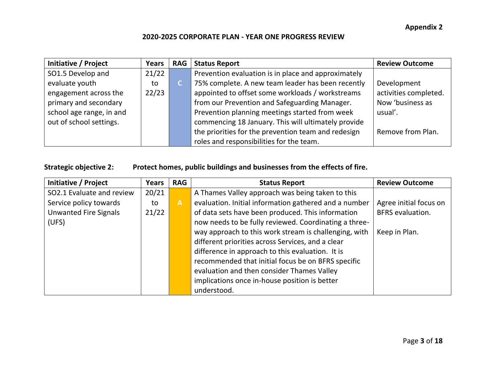| Initiative / Project     | Years | <b>RAG</b> | <b>Status Report</b>                                | <b>Review Outcome</b> |
|--------------------------|-------|------------|-----------------------------------------------------|-----------------------|
| SO1.5 Develop and        | 21/22 |            | Prevention evaluation is in place and approximately |                       |
| evaluate youth           | to    | C.         | 75% complete. A new team leader has been recently   | Development           |
| engagement across the    | 22/23 |            | appointed to offset some workloads / workstreams    | activities completed. |
| primary and secondary    |       |            | from our Prevention and Safeguarding Manager.       | Now 'business as      |
| school age range, in and |       |            | Prevention planning meetings started from week      | usual'.               |
| out of school settings.  |       |            | commencing 18 January. This will ultimately provide |                       |
|                          |       |            | the priorities for the prevention team and redesign | Remove from Plan.     |
|                          |       |            | roles and responsibilities for the team.            |                       |

## **Strategic objective 2: Protect homes, public buildings and businesses from the effects of fire.**

| Initiative / Project         | <b>Years</b> | <b>RAG</b>   | <b>Status Report</b>                                  | <b>Review Outcome</b>   |
|------------------------------|--------------|--------------|-------------------------------------------------------|-------------------------|
| SO2.1 Evaluate and review    | 20/21        |              | A Thames Valley approach was being taken to this      |                         |
| Service policy towards       | to           | $\mathsf{A}$ | evaluation. Initial information gathered and a number | Agree initial focus on  |
| <b>Unwanted Fire Signals</b> | 21/22        |              | of data sets have been produced. This information     | <b>BFRS</b> evaluation. |
| (UFS)                        |              |              | now needs to be fully reviewed. Coordinating a three- |                         |
|                              |              |              | way approach to this work stream is challenging, with | Keep in Plan.           |
|                              |              |              | different priorities across Services, and a clear     |                         |
|                              |              |              | difference in approach to this evaluation. It is      |                         |
|                              |              |              | recommended that initial focus be on BFRS specific    |                         |
|                              |              |              | evaluation and then consider Thames Valley            |                         |
|                              |              |              | implications once in-house position is better         |                         |
|                              |              |              | understood.                                           |                         |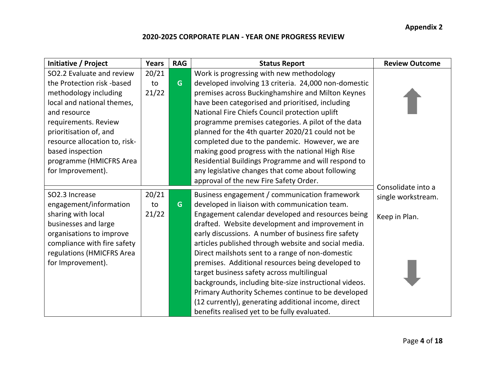**Appendix 2**

| Initiative / Project          | Years | <b>RAG</b> | <b>Status Report</b>                                   | <b>Review Outcome</b> |
|-------------------------------|-------|------------|--------------------------------------------------------|-----------------------|
| SO2.2 Evaluate and review     | 20/21 |            | Work is progressing with new methodology               |                       |
| the Protection risk -based    | to    | G          | developed involving 13 criteria. 24,000 non-domestic   |                       |
| methodology including         | 21/22 |            | premises across Buckinghamshire and Milton Keynes      |                       |
| local and national themes,    |       |            | have been categorised and prioritised, including       |                       |
| and resource                  |       |            | National Fire Chiefs Council protection uplift         |                       |
| requirements. Review          |       |            | programme premises categories. A pilot of the data     |                       |
| prioritisation of, and        |       |            | planned for the 4th quarter 2020/21 could not be       |                       |
| resource allocation to, risk- |       |            | completed due to the pandemic. However, we are         |                       |
| based inspection              |       |            | making good progress with the national High Rise       |                       |
| programme (HMICFRS Area       |       |            | Residential Buildings Programme and will respond to    |                       |
| for Improvement).             |       |            | any legislative changes that come about following      |                       |
|                               |       |            | approval of the new Fire Safety Order.                 |                       |
| SO2.3 Increase                | 20/21 |            | Business engagement / communication framework          | Consolidate into a    |
| engagement/information        | to    | G          | developed in liaison with communication team.          | single workstream.    |
| sharing with local            | 21/22 |            | Engagement calendar developed and resources being      | Keep in Plan.         |
| businesses and large          |       |            | drafted. Website development and improvement in        |                       |
| organisations to improve      |       |            | early discussions. A number of business fire safety    |                       |
| compliance with fire safety   |       |            | articles published through website and social media.   |                       |
| regulations (HMICFRS Area     |       |            | Direct mailshots sent to a range of non-domestic       |                       |
| for Improvement).             |       |            | premises. Additional resources being developed to      |                       |
|                               |       |            | target business safety across multilingual             |                       |
|                               |       |            | backgrounds, including bite-size instructional videos. |                       |
|                               |       |            | Primary Authority Schemes continue to be developed     |                       |
|                               |       |            | (12 currently), generating additional income, direct   |                       |
|                               |       |            | benefits realised yet to be fully evaluated.           |                       |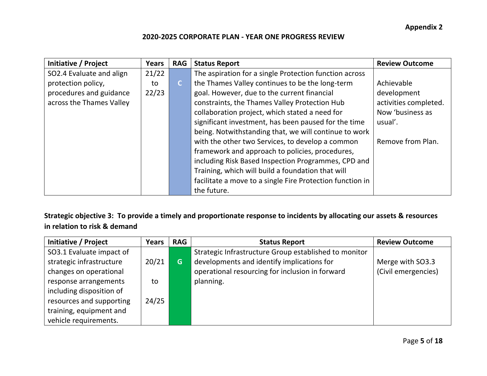| Initiative / Project     | Years | <b>RAG</b>   | <b>Status Report</b>                                      | <b>Review Outcome</b> |
|--------------------------|-------|--------------|-----------------------------------------------------------|-----------------------|
| SO2.4 Evaluate and align | 21/22 |              | The aspiration for a single Protection function across    |                       |
| protection policy,       | to    | $\mathsf{C}$ | the Thames Valley continues to be the long-term           | Achievable            |
| procedures and guidance  | 22/23 |              | goal. However, due to the current financial               | development           |
| across the Thames Valley |       |              | constraints, the Thames Valley Protection Hub             | activities completed. |
|                          |       |              | collaboration project, which stated a need for            | Now 'business as      |
|                          |       |              | significant investment, has been paused for the time      | usual'.               |
|                          |       |              | being. Notwithstanding that, we will continue to work     |                       |
|                          |       |              | with the other two Services, to develop a common          | Remove from Plan.     |
|                          |       |              | framework and approach to policies, procedures,           |                       |
|                          |       |              | including Risk Based Inspection Programmes, CPD and       |                       |
|                          |       |              | Training, which will build a foundation that will         |                       |
|                          |       |              | facilitate a move to a single Fire Protection function in |                       |
|                          |       |              | the future.                                               |                       |

**Strategic objective 3: To provide a timely and proportionate response to incidents by allocating our assets & resources in relation to risk & demand**

| Initiative / Project     | Years | <b>RAG</b> | <b>Status Report</b>                                  | <b>Review Outcome</b> |
|--------------------------|-------|------------|-------------------------------------------------------|-----------------------|
| SO3.1 Evaluate impact of |       |            | Strategic Infrastructure Group established to monitor |                       |
| strategic infrastructure | 20/21 | <b>G</b>   | developments and identify implications for            | Merge with SO3.3      |
| changes on operational   |       |            | operational resourcing for inclusion in forward       | (Civil emergencies)   |
| response arrangements    | to    |            | planning.                                             |                       |
| including disposition of |       |            |                                                       |                       |
| resources and supporting | 24/25 |            |                                                       |                       |
| training, equipment and  |       |            |                                                       |                       |
| vehicle requirements.    |       |            |                                                       |                       |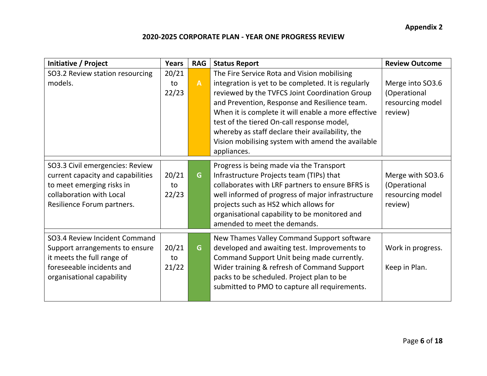| Initiative / Project                                                                                                                                        | <b>Years</b>         | <b>RAG</b>   | <b>Status Report</b>                                                                                                                                                                                                                                                                                                                                                                                                               | <b>Review Outcome</b>                                           |
|-------------------------------------------------------------------------------------------------------------------------------------------------------------|----------------------|--------------|------------------------------------------------------------------------------------------------------------------------------------------------------------------------------------------------------------------------------------------------------------------------------------------------------------------------------------------------------------------------------------------------------------------------------------|-----------------------------------------------------------------|
| SO3.2 Review station resourcing<br>models.                                                                                                                  | 20/21<br>to<br>22/23 | $\mathbf{A}$ | The Fire Service Rota and Vision mobilising<br>integration is yet to be completed. It is regularly<br>reviewed by the TVFCS Joint Coordination Group<br>and Prevention, Response and Resilience team.<br>When it is complete it will enable a more effective<br>test of the tiered On-call response model,<br>whereby as staff declare their availability, the<br>Vision mobilising system with amend the available<br>appliances. | Merge into SO3.6<br>(Operational<br>resourcing model<br>review) |
| SO3.3 Civil emergencies: Review<br>current capacity and capabilities<br>to meet emerging risks in<br>collaboration with Local<br>Resilience Forum partners. | 20/21<br>to<br>22/23 | G            | Progress is being made via the Transport<br>Infrastructure Projects team (TIPs) that<br>collaborates with LRF partners to ensure BFRS is<br>well informed of progress of major infrastructure<br>projects such as HS2 which allows for<br>organisational capability to be monitored and<br>amended to meet the demands.                                                                                                            | Merge with SO3.6<br>(Operational<br>resourcing model<br>review) |
| SO3.4 Review Incident Command<br>Support arrangements to ensure<br>it meets the full range of<br>foreseeable incidents and<br>organisational capability     | 20/21<br>to<br>21/22 | G            | New Thames Valley Command Support software<br>developed and awaiting test. Improvements to<br>Command Support Unit being made currently.<br>Wider training & refresh of Command Support<br>packs to be scheduled. Project plan to be<br>submitted to PMO to capture all requirements.                                                                                                                                              | Work in progress.<br>Keep in Plan.                              |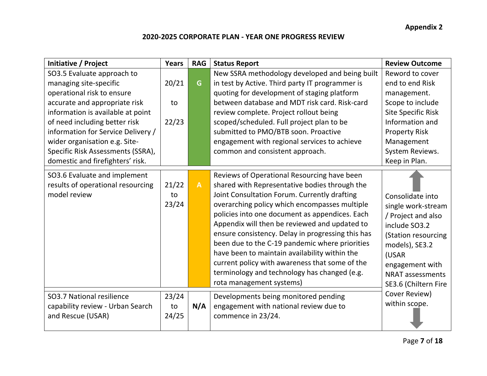| Initiative / Project                                                               | <b>Years</b>         | <b>RAG</b>   | <b>Status Report</b>                                                                                                                                                                                                                                                                                                                                                                                                                                                                                                                                                                   | <b>Review Outcome</b>                                                                                                                                                                                 |
|------------------------------------------------------------------------------------|----------------------|--------------|----------------------------------------------------------------------------------------------------------------------------------------------------------------------------------------------------------------------------------------------------------------------------------------------------------------------------------------------------------------------------------------------------------------------------------------------------------------------------------------------------------------------------------------------------------------------------------------|-------------------------------------------------------------------------------------------------------------------------------------------------------------------------------------------------------|
| SO3.5 Evaluate approach to                                                         |                      |              | New SSRA methodology developed and being built                                                                                                                                                                                                                                                                                                                                                                                                                                                                                                                                         | Reword to cover                                                                                                                                                                                       |
| managing site-specific                                                             | 20/21                | G            | in test by Active. Third party IT programmer is                                                                                                                                                                                                                                                                                                                                                                                                                                                                                                                                        | end to end Risk                                                                                                                                                                                       |
| operational risk to ensure                                                         |                      |              | quoting for development of staging platform                                                                                                                                                                                                                                                                                                                                                                                                                                                                                                                                            | management.                                                                                                                                                                                           |
| accurate and appropriate risk                                                      | to                   |              | between database and MDT risk card. Risk-card                                                                                                                                                                                                                                                                                                                                                                                                                                                                                                                                          | Scope to include                                                                                                                                                                                      |
| information is available at point                                                  |                      |              | review complete. Project rollout being                                                                                                                                                                                                                                                                                                                                                                                                                                                                                                                                                 | <b>Site Specific Risk</b>                                                                                                                                                                             |
| of need including better risk                                                      | 22/23                |              | scoped/scheduled. Full project plan to be                                                                                                                                                                                                                                                                                                                                                                                                                                                                                                                                              | Information and                                                                                                                                                                                       |
| information for Service Delivery /                                                 |                      |              | submitted to PMO/BTB soon. Proactive                                                                                                                                                                                                                                                                                                                                                                                                                                                                                                                                                   | <b>Property Risk</b>                                                                                                                                                                                  |
| wider organisation e.g. Site-                                                      |                      |              | engagement with regional services to achieve                                                                                                                                                                                                                                                                                                                                                                                                                                                                                                                                           | Management                                                                                                                                                                                            |
| Specific Risk Assessments (SSRA),                                                  |                      |              | common and consistent approach.                                                                                                                                                                                                                                                                                                                                                                                                                                                                                                                                                        | System Reviews.                                                                                                                                                                                       |
| domestic and firefighters' risk.                                                   |                      |              |                                                                                                                                                                                                                                                                                                                                                                                                                                                                                                                                                                                        | Keep in Plan.                                                                                                                                                                                         |
| SO3.6 Evaluate and implement<br>results of operational resourcing<br>model review  | 21/22<br>to<br>23/24 | $\mathbf{A}$ | Reviews of Operational Resourcing have been<br>shared with Representative bodies through the<br>Joint Consultation Forum. Currently drafting<br>overarching policy which encompasses multiple<br>policies into one document as appendices. Each<br>Appendix will then be reviewed and updated to<br>ensure consistency. Delay in progressing this has<br>been due to the C-19 pandemic where priorities<br>have been to maintain availability within the<br>current policy with awareness that some of the<br>terminology and technology has changed (e.g.<br>rota management systems) | Consolidate into<br>single work-stream<br>/ Project and also<br>include SO3.2<br>(Station resourcing<br>models), SE3.2<br>(USAR<br>engagement with<br><b>NRAT assessments</b><br>SE3.6 (Chiltern Fire |
| SO3.7 National resilience<br>capability review - Urban Search<br>and Rescue (USAR) | 23/24<br>to<br>24/25 | N/A          | Developments being monitored pending<br>engagement with national review due to<br>commence in 23/24.                                                                                                                                                                                                                                                                                                                                                                                                                                                                                   | Cover Review)<br>within scope.                                                                                                                                                                        |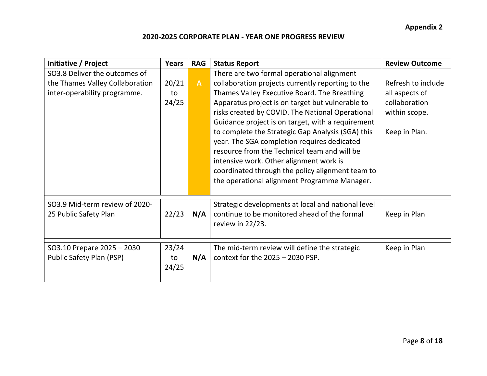**Appendix 2**

| Initiative / Project            | <b>Years</b> | <b>RAG</b>   | <b>Status Report</b>                               | <b>Review Outcome</b> |
|---------------------------------|--------------|--------------|----------------------------------------------------|-----------------------|
| SO3.8 Deliver the outcomes of   |              |              | There are two formal operational alignment         |                       |
| the Thames Valley Collaboration | 20/21        | $\mathsf{A}$ | collaboration projects currently reporting to the  | Refresh to include    |
| inter-operability programme.    | to           |              | Thames Valley Executive Board. The Breathing       | all aspects of        |
|                                 | 24/25        |              | Apparatus project is on target but vulnerable to   | collaboration         |
|                                 |              |              | risks created by COVID. The National Operational   | within scope.         |
|                                 |              |              | Guidance project is on target, with a requirement  |                       |
|                                 |              |              | to complete the Strategic Gap Analysis (SGA) this  | Keep in Plan.         |
|                                 |              |              | year. The SGA completion requires dedicated        |                       |
|                                 |              |              | resource from the Technical team and will be       |                       |
|                                 |              |              | intensive work. Other alignment work is            |                       |
|                                 |              |              | coordinated through the policy alignment team to   |                       |
|                                 |              |              | the operational alignment Programme Manager.       |                       |
|                                 |              |              |                                                    |                       |
| SO3.9 Mid-term review of 2020-  |              |              | Strategic developments at local and national level |                       |
| 25 Public Safety Plan           | 22/23        | N/A          | continue to be monitored ahead of the formal       | Keep in Plan          |
|                                 |              |              | review in 22/23.                                   |                       |
|                                 |              |              |                                                    |                       |
| SO3.10 Prepare 2025 - 2030      | 23/24        |              | The mid-term review will define the strategic      | Keep in Plan          |
| Public Safety Plan (PSP)        | to           | N/A          | context for the $2025 - 2030$ PSP.                 |                       |
|                                 | 24/25        |              |                                                    |                       |
|                                 |              |              |                                                    |                       |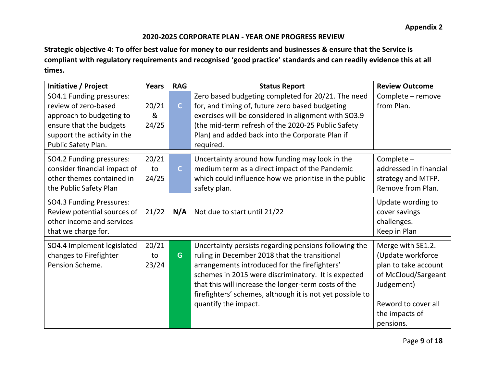**Strategic objective 4: To offer best value for money to our residents and businesses & ensure that the Service is compliant with regulatory requirements and recognised 'good practice' standards and can readily evidence this at all times.**

| Initiative / Project                      | <b>Years</b> | <b>RAG</b>     | <b>Status Report</b>                                                                           | <b>Review Outcome</b>                     |
|-------------------------------------------|--------------|----------------|------------------------------------------------------------------------------------------------|-------------------------------------------|
| SO4.1 Funding pressures:                  |              |                | Zero based budgeting completed for 20/21. The need                                             | Complete - remove                         |
| review of zero-based                      | 20/21        | $\mathsf{C}$   | for, and timing of, future zero based budgeting                                                | from Plan.                                |
| approach to budgeting to                  | &            |                | exercises will be considered in alignment with SO3.9                                           |                                           |
| ensure that the budgets                   | 24/25        |                | (the mid-term refresh of the 2020-25 Public Safety                                             |                                           |
| support the activity in the               |              |                | Plan) and added back into the Corporate Plan if                                                |                                           |
| Public Safety Plan.                       |              |                | required.                                                                                      |                                           |
| SO4.2 Funding pressures:                  | 20/21        |                | Uncertainty around how funding may look in the                                                 | Complete -                                |
| consider financial impact of              | to           | $\overline{C}$ | medium term as a direct impact of the Pandemic                                                 | addressed in financial                    |
| other themes contained in                 | 24/25        |                | which could influence how we prioritise in the public                                          | strategy and MTFP.                        |
| the Public Safety Plan                    |              |                | safety plan.                                                                                   | Remove from Plan.                         |
| <b>SO4.3 Funding Pressures:</b>           |              |                |                                                                                                | Update wording to                         |
| Review potential sources of               | 21/22        | N/A            | Not due to start until 21/22                                                                   | cover savings                             |
| other income and services                 |              |                |                                                                                                | challenges.                               |
| that we charge for.                       |              |                |                                                                                                | Keep in Plan                              |
| SO4.4 Implement legislated                | 20/21        |                | Uncertainty persists regarding pensions following the                                          | Merge with SE1.2.                         |
| changes to Firefighter<br>Pension Scheme. | to<br>23/24  | G              | ruling in December 2018 that the transitional<br>arrangements introduced for the firefighters' | (Update workforce<br>plan to take account |
|                                           |              |                | schemes in 2015 were discriminatory. It is expected                                            | of McCloud/Sargeant                       |
|                                           |              |                | that this will increase the longer-term costs of the                                           | Judgement)                                |
|                                           |              |                |                                                                                                |                                           |
|                                           |              |                | firefighters' schemes, although it is not yet possible to<br>quantify the impact.              | Reword to cover all                       |
|                                           |              |                |                                                                                                |                                           |
|                                           |              |                |                                                                                                | the impacts of                            |
|                                           |              |                |                                                                                                | pensions.                                 |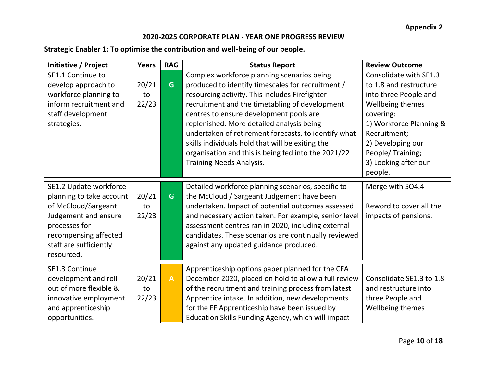## **Strategic Enabler 1: To optimise the contribution and well-being of our people.**

| Initiative / Project     | <b>Years</b> | <b>RAG</b>   | <b>Status Report</b>                                  | <b>Review Outcome</b>    |
|--------------------------|--------------|--------------|-------------------------------------------------------|--------------------------|
| SE1.1 Continue to        |              |              | Complex workforce planning scenarios being            | Consolidate with SE1.3   |
| develop approach to      | 20/21        | G            | produced to identify timescales for recruitment /     | to 1.8 and restructure   |
| workforce planning to    | to           |              | resourcing activity. This includes Firefighter        | into three People and    |
| inform recruitment and   | 22/23        |              | recruitment and the timetabling of development        | Wellbeing themes         |
| staff development        |              |              | centres to ensure development pools are               | covering:                |
| strategies.              |              |              | replenished. More detailed analysis being             | 1) Workforce Planning &  |
|                          |              |              | undertaken of retirement forecasts, to identify what  | Recruitment;             |
|                          |              |              | skills individuals hold that will be exiting the      | 2) Developing our        |
|                          |              |              | organisation and this is being fed into the 2021/22   | People/Training;         |
|                          |              |              | <b>Training Needs Analysis.</b>                       | 3) Looking after our     |
|                          |              |              |                                                       | people.                  |
| SE1.2 Update workforce   |              |              | Detailed workforce planning scenarios, specific to    | Merge with SO4.4         |
| planning to take account | 20/21        | G            | the McCloud / Sargeant Judgement have been            |                          |
| of McCloud/Sargeant      | to           |              | undertaken. Impact of potential outcomes assessed     | Reword to cover all the  |
| Judgement and ensure     | 22/23        |              | and necessary action taken. For example, senior level | impacts of pensions.     |
| processes for            |              |              | assessment centres ran in 2020, including external    |                          |
| recompensing affected    |              |              | candidates. These scenarios are continually reviewed  |                          |
| staff are sufficiently   |              |              | against any updated guidance produced.                |                          |
| resourced.               |              |              |                                                       |                          |
| SE1.3 Continue           |              |              | Apprenticeship options paper planned for the CFA      |                          |
| development and roll-    | 20/21        | $\mathbf{A}$ | December 2020, placed on hold to allow a full review  | Consolidate SE1.3 to 1.8 |
| out of more flexible &   | to           |              | of the recruitment and training process from latest   | and restructure into     |
| innovative employment    | 22/23        |              | Apprentice intake. In addition, new developments      | three People and         |
| and apprenticeship       |              |              | for the FF Apprenticeship have been issued by         | Wellbeing themes         |
| opportunities.           |              |              | Education Skills Funding Agency, which will impact    |                          |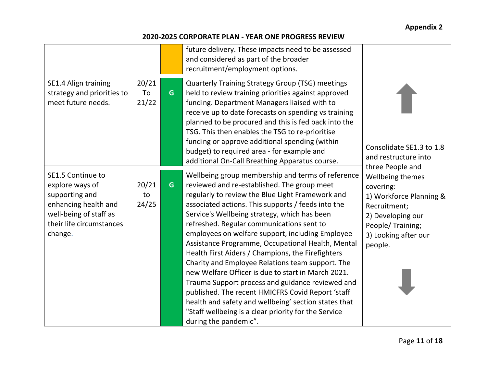|                                                                                                                                                 |                      |    | future delivery. These impacts need to be assessed<br>and considered as part of the broader<br>recruitment/employment options.                                                                                                                                                                                                                                                                                                                                                                                                                                                                                                                                                                                                                                                                                                    |                                                                                                                                                      |
|-------------------------------------------------------------------------------------------------------------------------------------------------|----------------------|----|-----------------------------------------------------------------------------------------------------------------------------------------------------------------------------------------------------------------------------------------------------------------------------------------------------------------------------------------------------------------------------------------------------------------------------------------------------------------------------------------------------------------------------------------------------------------------------------------------------------------------------------------------------------------------------------------------------------------------------------------------------------------------------------------------------------------------------------|------------------------------------------------------------------------------------------------------------------------------------------------------|
| SE1.4 Align training<br>strategy and priorities to<br>meet future needs.                                                                        | 20/21<br>To<br>21/22 | G. | <b>Quarterly Training Strategy Group (TSG) meetings</b><br>held to review training priorities against approved<br>funding. Department Managers liaised with to<br>receive up to date forecasts on spending vs training<br>planned to be procured and this is fed back into the<br>TSG. This then enables the TSG to re-prioritise<br>funding or approve additional spending (within<br>budget) to required area - for example and<br>additional On-Call Breathing Apparatus course.                                                                                                                                                                                                                                                                                                                                               | Consolidate SE1.3 to 1.8<br>and restructure into<br>three People and                                                                                 |
| SE1.5 Continue to<br>explore ways of<br>supporting and<br>enhancing health and<br>well-being of staff as<br>their life circumstances<br>change. | 20/21<br>to<br>24/25 | G  | Wellbeing group membership and terms of reference<br>reviewed and re-established. The group meet<br>regularly to review the Blue Light Framework and<br>associated actions. This supports / feeds into the<br>Service's Wellbeing strategy, which has been<br>refreshed. Regular communications sent to<br>employees on welfare support, including Employee<br>Assistance Programme, Occupational Health, Mental<br>Health First Aiders / Champions, the Firefighters<br>Charity and Employee Relations team support. The<br>new Welfare Officer is due to start in March 2021.<br>Trauma Support process and guidance reviewed and<br>published. The recent HMICFRS Covid Report 'staff<br>health and safety and wellbeing' section states that<br>"Staff wellbeing is a clear priority for the Service<br>during the pandemic". | Wellbeing themes<br>covering:<br>1) Workforce Planning &<br>Recruitment;<br>2) Developing our<br>People/Training;<br>3) Looking after our<br>people. |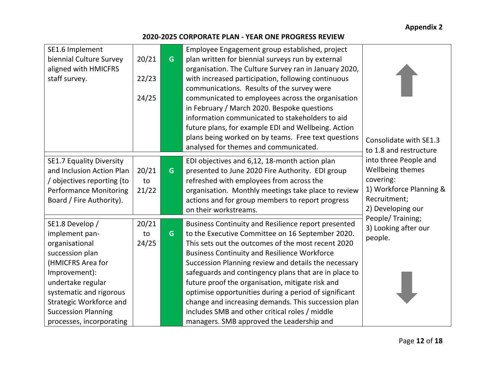| SE1.6 Implement                 |       |   | Employee Engagement group established, project        |                         |
|---------------------------------|-------|---|-------------------------------------------------------|-------------------------|
| biennial Culture Survey         | 20/21 | G | plan written for biennial surveys run by external     |                         |
| aligned with HMICFRS            |       |   | organisation. The Culture Survey ran in January 2020, |                         |
| staff survey.                   | 22/23 |   | with increased participation, following continuous    |                         |
|                                 |       |   | communications. Results of the survey were            |                         |
|                                 | 24/25 |   | communicated to employees across the organisation     |                         |
|                                 |       |   | in February / March 2020. Bespoke questions           |                         |
|                                 |       |   | information communicated to stakeholders to aid       |                         |
|                                 |       |   | future plans, for example EDI and Wellbeing. Action   |                         |
|                                 |       |   | plans being worked on by teams. Free text questions   | Consolidate with SE1.3  |
|                                 |       |   | analysed for themes and communicated.                 | to 1.8 and restructure  |
| <b>SE1.7 Equality Diversity</b> |       |   | EDI objectives and 6,12, 18-month action plan         | into three People and   |
| and Inclusion Action Plan       | 20/21 | G | presented to June 2020 Fire Authority. EDI group      | Wellbeing themes        |
| / objectives reporting (to      | to    |   | refreshed with employees from across the              | covering:               |
| <b>Performance Monitoring</b>   | 21/22 |   | organisation. Monthly meetings take place to review   | 1) Workforce Planning & |
| Board / Fire Authority).        |       |   | actions and for group members to report progress      | Recruitment;            |
|                                 |       |   | on their workstreams.                                 | 2) Developing our       |
|                                 |       |   |                                                       | People/Training;        |
| SE1.8 Develop /                 | 20/21 |   | Business Continuity and Resilience report presented   | 3) Looking after our    |
| implement pan-                  | to    | G | to the Executive Committee on 16 September 2020.      | people.                 |
| organisational                  | 24/25 |   | This sets out the outcomes of the most recent 2020    |                         |
| succession plan                 |       |   | <b>Business Continuity and Resilience Workforce</b>   |                         |
| (HMICFRS Area for               |       |   | Succession Planning review and details the necessary  |                         |
| Improvement):                   |       |   | safeguards and contingency plans that are in place to |                         |
| undertake regular               |       |   | future proof the organisation, mitigate risk and      |                         |
| systematic and rigorous         |       |   | optimise opportunities during a period of significant |                         |
| <b>Strategic Workforce and</b>  |       |   | change and increasing demands. This succession plan   |                         |
| <b>Succession Planning</b>      |       |   | includes SMB and other critical roles / middle        |                         |
| processes, incorporating        |       |   | managers. SMB approved the Leadership and             |                         |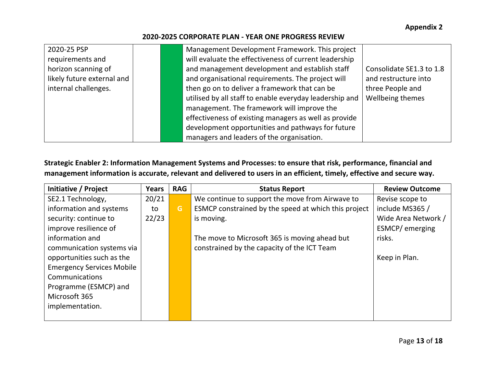| 2020-25 PSP                | Management Development Framework. This project          |                          |
|----------------------------|---------------------------------------------------------|--------------------------|
| requirements and           | will evaluate the effectiveness of current leadership   |                          |
| horizon scanning of        | and management development and establish staff          | Consolidate SE1.3 to 1.8 |
| likely future external and | and organisational requirements. The project will       | and restructure into     |
| internal challenges.       | then go on to deliver a framework that can be           | three People and         |
|                            | utilised by all staff to enable everyday leadership and | Wellbeing themes         |
|                            | management. The framework will improve the              |                          |
|                            | effectiveness of existing managers as well as provide   |                          |
|                            | development opportunities and pathways for future       |                          |
|                            | managers and leaders of the organisation.               |                          |

**Strategic Enabler 2: Information Management Systems and Processes: to ensure that risk, performance, financial and management information is accurate, relevant and delivered to users in an efficient, timely, effective and secure way.**

| Initiative / Project             | Years | <b>RAG</b> | <b>Status Report</b>                                 | <b>Review Outcome</b> |
|----------------------------------|-------|------------|------------------------------------------------------|-----------------------|
| SE2.1 Technology,                | 20/21 |            | We continue to support the move from Airwave to      | Revise scope to       |
| information and systems          | to    | G          | ESMCP constrained by the speed at which this project | include MS365 /       |
| security: continue to            | 22/23 |            | is moving.                                           | Wide Area Network /   |
| improve resilience of            |       |            |                                                      | ESMCP/ emerging       |
| information and                  |       |            | The move to Microsoft 365 is moving ahead but        | risks.                |
| communication systems via        |       |            | constrained by the capacity of the ICT Team          |                       |
| opportunities such as the        |       |            |                                                      | Keep in Plan.         |
| <b>Emergency Services Mobile</b> |       |            |                                                      |                       |
| Communications                   |       |            |                                                      |                       |
| Programme (ESMCP) and            |       |            |                                                      |                       |
| Microsoft 365                    |       |            |                                                      |                       |
| implementation.                  |       |            |                                                      |                       |
|                                  |       |            |                                                      |                       |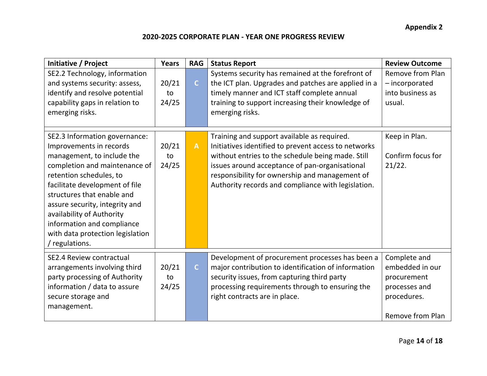| Initiative / Project                                                                                                                                                                                                                                                                                                                                                  | <b>Years</b>         | <b>RAG</b>   | <b>Status Report</b>                                                                                                                                                                                                                                                                                               | <b>Review Outcome</b>                                                                                     |
|-----------------------------------------------------------------------------------------------------------------------------------------------------------------------------------------------------------------------------------------------------------------------------------------------------------------------------------------------------------------------|----------------------|--------------|--------------------------------------------------------------------------------------------------------------------------------------------------------------------------------------------------------------------------------------------------------------------------------------------------------------------|-----------------------------------------------------------------------------------------------------------|
| SE2.2 Technology, information<br>and systems security: assess,<br>identify and resolve potential<br>capability gaps in relation to<br>emerging risks.                                                                                                                                                                                                                 | 20/21<br>to<br>24/25 | $\mathsf{C}$ | Systems security has remained at the forefront of<br>the ICT plan. Upgrades and patches are applied in a<br>timely manner and ICT staff complete annual<br>training to support increasing their knowledge of<br>emerging risks.                                                                                    | <b>Remove from Plan</b><br>- incorporated<br>into business as<br>usual.                                   |
| SE2.3 Information governance:<br>Improvements in records<br>management, to include the<br>completion and maintenance of<br>retention schedules, to<br>facilitate development of file<br>structures that enable and<br>assure security, integrity and<br>availability of Authority<br>information and compliance<br>with data protection legislation<br>/ regulations. | 20/21<br>to<br>24/25 | $\mathbf{A}$ | Training and support available as required.<br>Initiatives identified to prevent access to networks<br>without entries to the schedule being made. Still<br>issues around acceptance of pan-organisational<br>responsibility for ownership and management of<br>Authority records and compliance with legislation. | Keep in Plan.<br>Confirm focus for<br>21/22.                                                              |
| <b>SE2.4 Review contractual</b><br>arrangements involving third<br>party processing of Authority<br>information / data to assure<br>secure storage and<br>management.                                                                                                                                                                                                 | 20/21<br>to<br>24/25 | $\mathsf{C}$ | Development of procurement processes has been a<br>major contribution to identification of information<br>security issues, from capturing third party<br>processing requirements through to ensuring the<br>right contracts are in place.                                                                          | Complete and<br>embedded in our<br>procurement<br>processes and<br>procedures.<br><b>Remove from Plan</b> |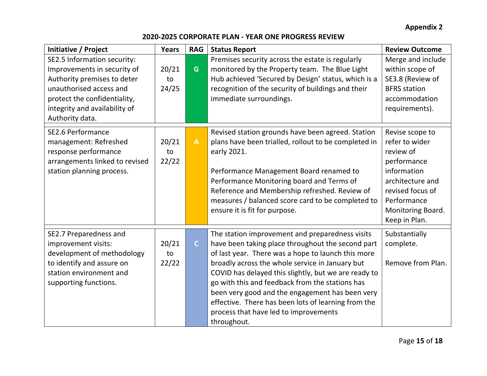## **Appendix 2**

| Initiative / Project                                                                                                                                                                                     | <b>Years</b>         | <b>RAG</b>     | <b>Status Report</b>                                                                                                                                                                                                                                                                                                                                                                                                                                                                       | <b>Review Outcome</b>                                                                                                                                                     |
|----------------------------------------------------------------------------------------------------------------------------------------------------------------------------------------------------------|----------------------|----------------|--------------------------------------------------------------------------------------------------------------------------------------------------------------------------------------------------------------------------------------------------------------------------------------------------------------------------------------------------------------------------------------------------------------------------------------------------------------------------------------------|---------------------------------------------------------------------------------------------------------------------------------------------------------------------------|
| SE2.5 Information security:<br>Improvements in security of<br>Authority premises to deter<br>unauthorised access and<br>protect the confidentiality,<br>integrity and availability of<br>Authority data. | 20/21<br>to<br>24/25 | G              | Premises security across the estate is regularly<br>monitored by the Property team. The Blue Light<br>Hub achieved 'Secured by Design' status, which is a<br>recognition of the security of buildings and their<br>immediate surroundings.                                                                                                                                                                                                                                                 | Merge and include<br>within scope of<br>SE3.8 (Review of<br><b>BFRS</b> station<br>accommodation<br>requirements).                                                        |
| <b>SE2.6 Performance</b><br>management: Refreshed<br>response performance<br>arrangements linked to revised<br>station planning process.                                                                 | 20/21<br>to<br>22/22 | $\overline{A}$ | Revised station grounds have been agreed. Station<br>plans have been trialled, rollout to be completed in<br>early 2021.<br>Performance Management Board renamed to<br>Performance Monitoring board and Terms of<br>Reference and Membership refreshed. Review of<br>measures / balanced score card to be completed to<br>ensure it is fit for purpose.                                                                                                                                    | Revise scope to<br>refer to wider<br>review of<br>performance<br>information<br>architecture and<br>revised focus of<br>Performance<br>Monitoring Board.<br>Keep in Plan. |
| SE2.7 Preparedness and<br>improvement visits:<br>development of methodology<br>to identify and assure on<br>station environment and<br>supporting functions.                                             | 20/21<br>to<br>22/22 | $\mathsf{C}$   | The station improvement and preparedness visits<br>have been taking place throughout the second part<br>of last year. There was a hope to launch this more<br>broadly across the whole service in January but<br>COVID has delayed this slightly, but we are ready to<br>go with this and feedback from the stations has<br>been very good and the engagement has been very<br>effective. There has been lots of learning from the<br>process that have led to improvements<br>throughout. | Substantially<br>complete.<br>Remove from Plan.                                                                                                                           |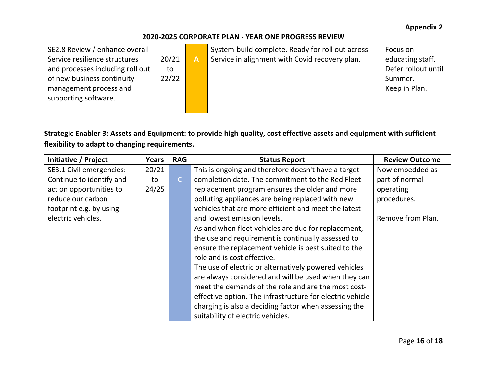| SE2.8 Review / enhance overall   |       |   | System-build complete. Ready for roll out across | Focus on            |
|----------------------------------|-------|---|--------------------------------------------------|---------------------|
| Service resilience structures    | 20/21 | A | Service in alignment with Covid recovery plan.   | educating staff.    |
| and processes including roll out | to    |   |                                                  | Defer rollout until |
| of new business continuity       | 22/22 |   |                                                  | Summer.             |
| management process and           |       |   |                                                  | Keep in Plan.       |
| supporting software.             |       |   |                                                  |                     |
|                                  |       |   |                                                  |                     |

## **Strategic Enabler 3: Assets and Equipment: to provide high quality, cost effective assets and equipment with sufficient flexibility to adapt to changing requirements.**

| Initiative / Project     | <b>Years</b> | <b>RAG</b>   | <b>Status Report</b>                                      | <b>Review Outcome</b> |
|--------------------------|--------------|--------------|-----------------------------------------------------------|-----------------------|
| SE3.1 Civil emergencies: | 20/21        |              | This is ongoing and therefore doesn't have a target       | Now embedded as       |
| Continue to identify and | to           | $\mathsf{C}$ | completion date. The commitment to the Red Fleet          | part of normal        |
| act on opportunities to  | 24/25        |              | replacement program ensures the older and more            | operating             |
| reduce our carbon        |              |              | polluting appliances are being replaced with new          | procedures.           |
| footprint e.g. by using  |              |              | vehicles that are more efficient and meet the latest      |                       |
| electric vehicles.       |              |              | and lowest emission levels.                               | Remove from Plan.     |
|                          |              |              | As and when fleet vehicles are due for replacement,       |                       |
|                          |              |              | the use and requirement is continually assessed to        |                       |
|                          |              |              | ensure the replacement vehicle is best suited to the      |                       |
|                          |              |              | role and is cost effective.                               |                       |
|                          |              |              | The use of electric or alternatively powered vehicles     |                       |
|                          |              |              | are always considered and will be used when they can      |                       |
|                          |              |              | meet the demands of the role and are the most cost-       |                       |
|                          |              |              | effective option. The infrastructure for electric vehicle |                       |
|                          |              |              | charging is also a deciding factor when assessing the     |                       |
|                          |              |              | suitability of electric vehicles.                         |                       |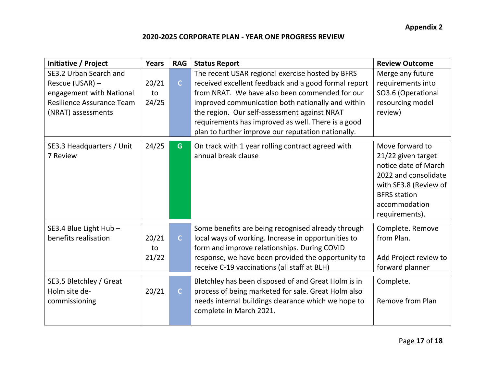| Initiative / Project                                                                                                     | <b>Years</b>         | <b>RAG</b>   | <b>Status Report</b>                                                                                                                                                                                                                                                                                                                                                        | <b>Review Outcome</b>                                                                                                                                                    |
|--------------------------------------------------------------------------------------------------------------------------|----------------------|--------------|-----------------------------------------------------------------------------------------------------------------------------------------------------------------------------------------------------------------------------------------------------------------------------------------------------------------------------------------------------------------------------|--------------------------------------------------------------------------------------------------------------------------------------------------------------------------|
| SE3.2 Urban Search and<br>Rescue (USAR) -<br>engagement with National<br>Resilience Assurance Team<br>(NRAT) assessments | 20/21<br>to<br>24/25 | $\mathsf{C}$ | The recent USAR regional exercise hosted by BFRS<br>received excellent feedback and a good formal report<br>from NRAT. We have also been commended for our<br>improved communication both nationally and within<br>the region. Our self-assessment against NRAT<br>requirements has improved as well. There is a good<br>plan to further improve our reputation nationally. | Merge any future<br>requirements into<br>SO3.6 (Operational<br>resourcing model<br>review)                                                                               |
| SE3.3 Headquarters / Unit<br>7 Review                                                                                    | 24/25                | G.           | On track with 1 year rolling contract agreed with<br>annual break clause                                                                                                                                                                                                                                                                                                    | Move forward to<br>21/22 given target<br>notice date of March<br>2022 and consolidate<br>with SE3.8 (Review of<br><b>BFRS</b> station<br>accommodation<br>requirements). |
| SE3.4 Blue Light Hub -<br>benefits realisation                                                                           | 20/21<br>to<br>21/22 | $\mathsf{C}$ | Some benefits are being recognised already through<br>local ways of working. Increase in opportunities to<br>form and improve relationships. During COVID<br>response, we have been provided the opportunity to<br>receive C-19 vaccinations (all staff at BLH)                                                                                                             | Complete. Remove<br>from Plan.<br>Add Project review to<br>forward planner                                                                                               |
| SE3.5 Bletchley / Great<br>Holm site de-<br>commissioning                                                                | 20/21                | $\mathsf{C}$ | Bletchley has been disposed of and Great Holm is in<br>process of being marketed for sale. Great Holm also<br>needs internal buildings clearance which we hope to<br>complete in March 2021.                                                                                                                                                                                | Complete.<br><b>Remove from Plan</b>                                                                                                                                     |